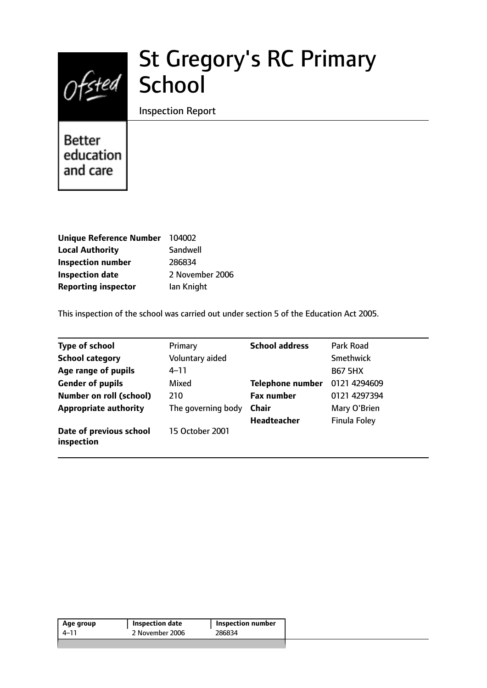# St Gregory's RC Primary School

## Inspection Report

Better education and care

| Unique Reference Number 104002 |                 |
|--------------------------------|-----------------|
| <b>Local Authority</b>         | Sandwell        |
| <b>Inspection number</b>       | 286834          |
| <b>Inspection date</b>         | 2 November 2006 |
| <b>Reporting inspector</b>     | lan Knight      |

This inspection of the school was carried out under section 5 of the Education Act 2005.

| <b>Type of school</b>                 | Primary            | <b>School address</b>   | Park Road           |
|---------------------------------------|--------------------|-------------------------|---------------------|
| <b>School category</b>                | Voluntary aided    |                         | Smethwick           |
| Age range of pupils                   | $4 - 11$           |                         | <b>B67 5HX</b>      |
| <b>Gender of pupils</b>               | Mixed              | <b>Telephone number</b> | 0121 4294609        |
| <b>Number on roll (school)</b>        | 210                | <b>Fax number</b>       | 0121 4297394        |
| <b>Appropriate authority</b>          | The governing body | <b>Chair</b>            | Mary O'Brien        |
|                                       |                    | <b>Headteacher</b>      | <b>Finula Foley</b> |
| Date of previous school<br>inspection | 15 October 2001    |                         |                     |

| 2 November 2006<br>286834<br>4–11 | Age group | Inspection date | <b>Inspection number</b> |
|-----------------------------------|-----------|-----------------|--------------------------|
|                                   |           |                 |                          |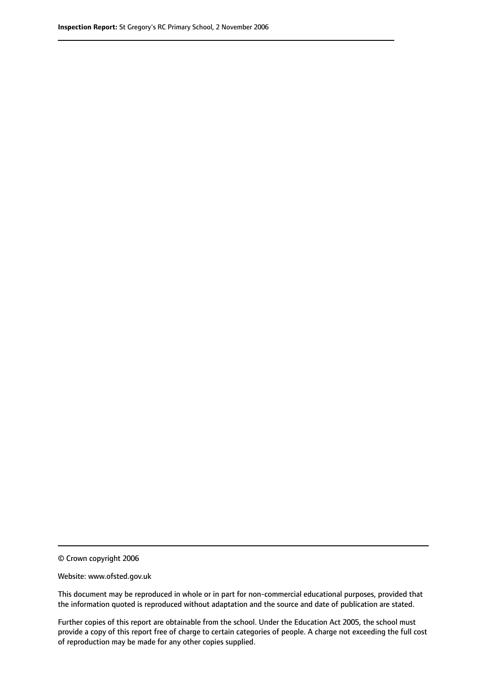© Crown copyright 2006

Website: www.ofsted.gov.uk

This document may be reproduced in whole or in part for non-commercial educational purposes, provided that the information quoted is reproduced without adaptation and the source and date of publication are stated.

Further copies of this report are obtainable from the school. Under the Education Act 2005, the school must provide a copy of this report free of charge to certain categories of people. A charge not exceeding the full cost of reproduction may be made for any other copies supplied.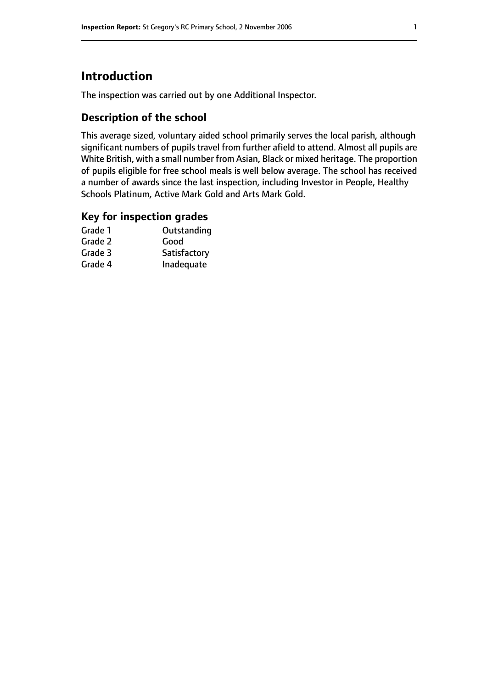## **Introduction**

The inspection was carried out by one Additional Inspector.

## **Description of the school**

This average sized, voluntary aided school primarily serves the local parish, although significant numbers of pupils travel from further afield to attend. Almost all pupils are White British, with a small number from Asian, Black or mixed heritage. The proportion of pupils eligible for free school meals is well below average. The school has received a number of awards since the last inspection, including Investor in People, Healthy Schools Platinum, Active Mark Gold and Arts Mark Gold.

### **Key for inspection grades**

| Grade 1 | Outstanding  |
|---------|--------------|
| Grade 2 | Good         |
| Grade 3 | Satisfactory |
| Grade 4 | Inadequate   |
|         |              |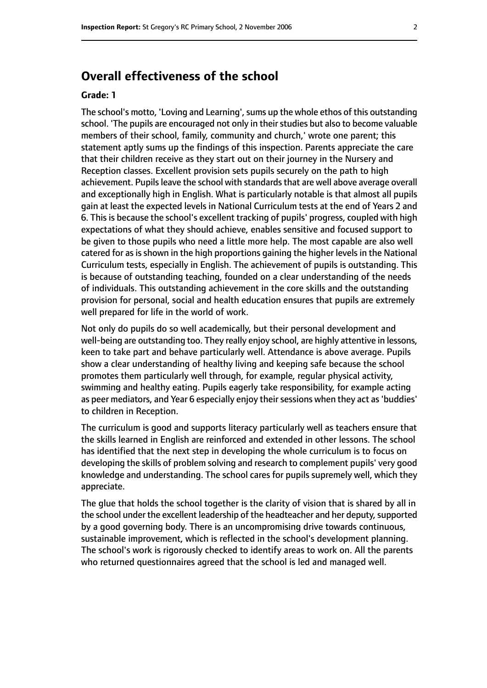## **Overall effectiveness of the school**

#### **Grade: 1**

The school's motto, 'Loving and Learning', sums up the whole ethos of this outstanding school. 'The pupils are encouraged not only in their studies but also to become valuable members of their school, family, community and church,' wrote one parent; this statement aptly sums up the findings of this inspection. Parents appreciate the care that their children receive as they start out on their journey in the Nursery and Reception classes. Excellent provision sets pupils securely on the path to high achievement. Pupils leave the school with standards that are well above average overall and exceptionally high in English. What is particularly notable is that almost all pupils gain at least the expected levels in National Curriculum tests at the end of Years 2 and 6. This is because the school's excellent tracking of pupils' progress, coupled with high expectations of what they should achieve, enables sensitive and focused support to be given to those pupils who need a little more help. The most capable are also well catered for as is shown in the high proportions gaining the higher levels in the National Curriculum tests, especially in English. The achievement of pupils is outstanding. This is because of outstanding teaching, founded on a clear understanding of the needs of individuals. This outstanding achievement in the core skills and the outstanding provision for personal, social and health education ensures that pupils are extremely well prepared for life in the world of work.

Not only do pupils do so well academically, but their personal development and well-being are outstanding too. They really enjoy school, are highly attentive in lessons, keen to take part and behave particularly well. Attendance is above average. Pupils show a clear understanding of healthy living and keeping safe because the school promotes them particularly well through, for example, regular physical activity, swimming and healthy eating. Pupils eagerly take responsibility, for example acting as peer mediators, and Year 6 especially enjoy their sessions when they act as 'buddies' to children in Reception.

The curriculum is good and supports literacy particularly well as teachers ensure that the skills learned in English are reinforced and extended in other lessons. The school has identified that the next step in developing the whole curriculum is to focus on developing the skills of problem solving and research to complement pupils' very good knowledge and understanding. The school cares for pupils supremely well, which they appreciate.

The glue that holds the school together is the clarity of vision that is shared by all in the school under the excellent leadership of the headteacher and her deputy, supported by a good governing body. There is an uncompromising drive towards continuous, sustainable improvement, which is reflected in the school's development planning. The school's work is rigorously checked to identify areas to work on. All the parents who returned questionnaires agreed that the school is led and managed well.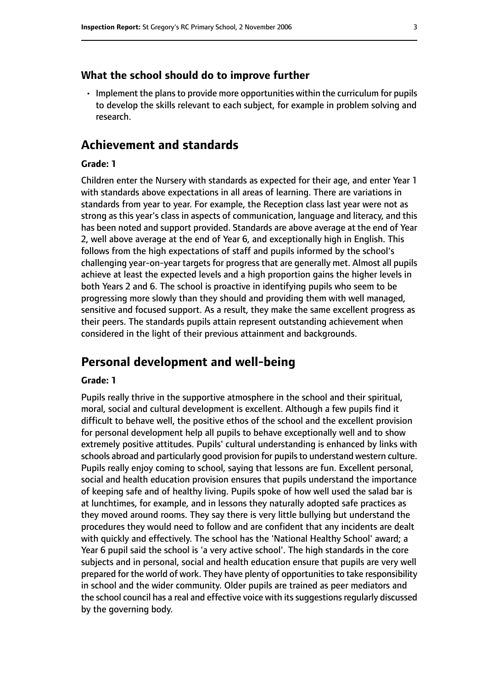#### **What the school should do to improve further**

 $\cdot$  Implement the plans to provide more opportunities within the curriculum for pupils to develop the skills relevant to each subject, for example in problem solving and research.

## **Achievement and standards**

#### **Grade: 1**

Children enter the Nursery with standards as expected for their age, and enter Year 1 with standards above expectations in all areas of learning. There are variations in standards from year to year. For example, the Reception class last year were not as strong as this year's class in aspects of communication, language and literacy, and this has been noted and support provided. Standards are above average at the end of Year 2, well above average at the end of Year 6, and exceptionally high in English. This follows from the high expectations of staff and pupils informed by the school's challenging year-on-year targets for progress that are generally met. Almost all pupils achieve at least the expected levels and a high proportion gains the higher levels in both Years 2 and 6. The school is proactive in identifying pupils who seem to be progressing more slowly than they should and providing them with well managed, sensitive and focused support. As a result, they make the same excellent progress as their peers. The standards pupils attain represent outstanding achievement when considered in the light of their previous attainment and backgrounds.

## **Personal development and well-being**

#### **Grade: 1**

Pupils really thrive in the supportive atmosphere in the school and their spiritual, moral, social and cultural development is excellent. Although a few pupils find it difficult to behave well, the positive ethos of the school and the excellent provision for personal development help all pupils to behave exceptionally well and to show extremely positive attitudes. Pupils' cultural understanding is enhanced by links with schools abroad and particularly good provision for pupils to understand western culture. Pupils really enjoy coming to school, saying that lessons are fun. Excellent personal, social and health education provision ensures that pupils understand the importance of keeping safe and of healthy living. Pupils spoke of how well used the salad bar is at lunchtimes, for example, and in lessons they naturally adopted safe practices as they moved around rooms. They say there is very little bullying but understand the procedures they would need to follow and are confident that any incidents are dealt with quickly and effectively. The school has the 'National Healthy School' award; a Year 6 pupil said the school is 'a very active school'. The high standards in the core subjects and in personal, social and health education ensure that pupils are very well prepared for the world of work. They have plenty of opportunities to take responsibility in school and the wider community. Older pupils are trained as peer mediators and the school council has a real and effective voice with its suggestions regularly discussed by the governing body.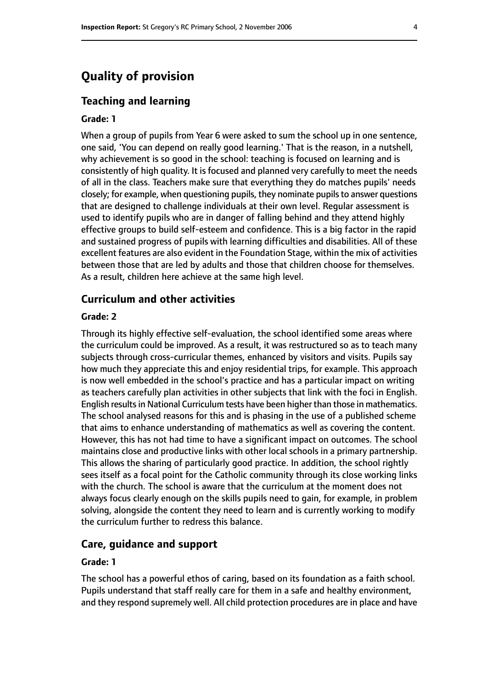## **Quality of provision**

#### **Teaching and learning**

#### **Grade: 1**

When a group of pupils from Year 6 were asked to sum the school up in one sentence, one said, 'You can depend on really good learning.' That is the reason, in a nutshell, why achievement is so good in the school: teaching is focused on learning and is consistently of high quality. It is focused and planned very carefully to meet the needs of all in the class. Teachers make sure that everything they do matches pupils' needs closely; for example, when questioning pupils, they nominate pupils to answer questions that are designed to challenge individuals at their own level. Regular assessment is used to identify pupils who are in danger of falling behind and they attend highly effective groups to build self-esteem and confidence. This is a big factor in the rapid and sustained progress of pupils with learning difficulties and disabilities. All of these excellent features are also evident in the Foundation Stage, within the mix of activities between those that are led by adults and those that children choose for themselves. As a result, children here achieve at the same high level.

## **Curriculum and other activities**

#### **Grade: 2**

Through its highly effective self-evaluation, the school identified some areas where the curriculum could be improved. As a result, it was restructured so as to teach many subjects through cross-curricular themes, enhanced by visitors and visits. Pupils say how much they appreciate this and enjoy residential trips, for example. This approach is now well embedded in the school's practice and has a particular impact on writing as teachers carefully plan activities in other subjects that link with the foci in English. English results in National Curriculum tests have been higher than those in mathematics. The school analysed reasons for this and is phasing in the use of a published scheme that aims to enhance understanding of mathematics as well as covering the content. However, this has not had time to have a significant impact on outcomes. The school maintains close and productive links with other local schools in a primary partnership. This allows the sharing of particularly good practice. In addition, the school rightly sees itself as a focal point for the Catholic community through its close working links with the church. The school is aware that the curriculum at the moment does not always focus clearly enough on the skills pupils need to gain, for example, in problem solving, alongside the content they need to learn and is currently working to modify the curriculum further to redress this balance.

#### **Care, guidance and support**

#### **Grade: 1**

The school has a powerful ethos of caring, based on its foundation as a faith school. Pupils understand that staff really care for them in a safe and healthy environment, and they respond supremely well. All child protection procedures are in place and have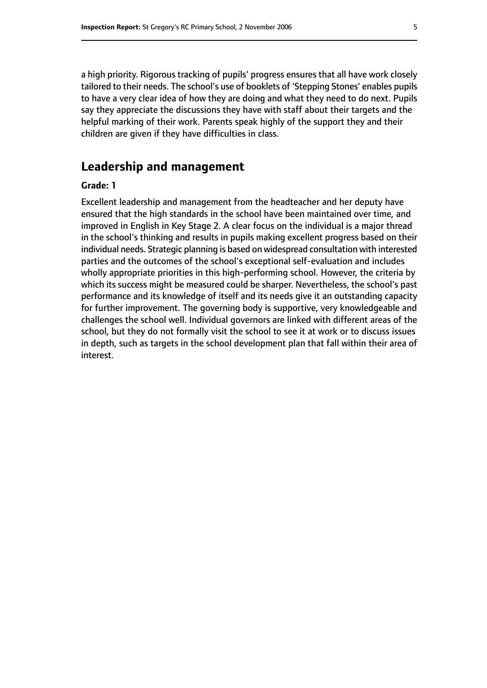a high priority. Rigorous tracking of pupils' progress ensures that all have work closely tailored to their needs. The school's use of booklets of 'Stepping Stones' enables pupils to have a very clear idea of how they are doing and what they need to do next. Pupils say they appreciate the discussions they have with staff about their targets and the helpful marking of their work. Parents speak highly of the support they and their children are given if they have difficulties in class.

## **Leadership and management**

#### **Grade: 1**

Excellent leadership and management from the headteacher and her deputy have ensured that the high standards in the school have been maintained over time, and improved in English in Key Stage 2. A clear focus on the individual is a major thread in the school's thinking and results in pupils making excellent progress based on their individual needs. Strategic planning is based on widespread consultation with interested parties and the outcomes of the school's exceptional self-evaluation and includes wholly appropriate priorities in this high-performing school. However, the criteria by which its success might be measured could be sharper. Nevertheless, the school's past performance and its knowledge of itself and its needs give it an outstanding capacity for further improvement. The governing body is supportive, very knowledgeable and challenges the school well. Individual governors are linked with different areas of the school, but they do not formally visit the school to see it at work or to discuss issues in depth, such as targets in the school development plan that fall within their area of interest.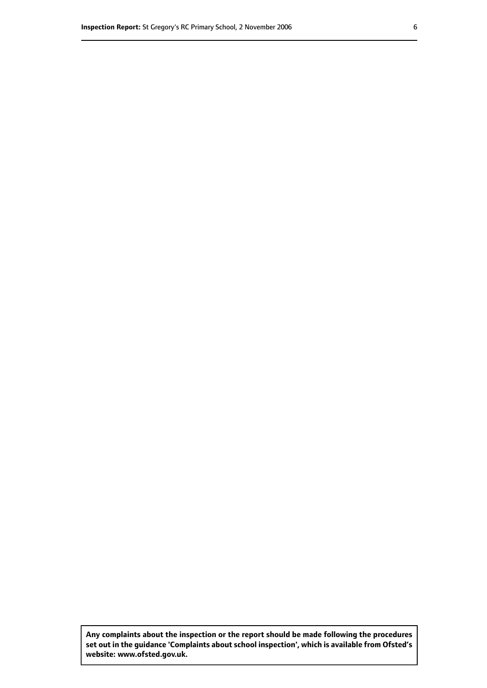**Any complaints about the inspection or the report should be made following the procedures set out inthe guidance 'Complaints about school inspection', whichis available from Ofsted's website: www.ofsted.gov.uk.**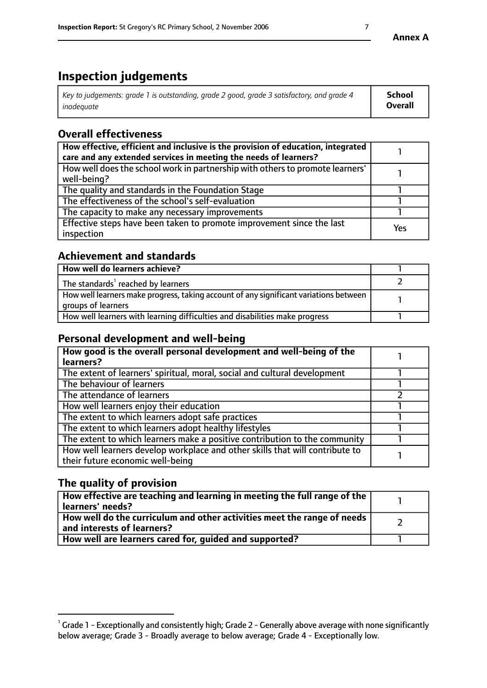## **Inspection judgements**

| Key to judgements: grade 1 is outstanding, grade 2 good, grade 3 satisfactory, and grade 4 | <b>School</b>  |
|--------------------------------------------------------------------------------------------|----------------|
| inadeauate                                                                                 | <b>Overall</b> |

## **Overall effectiveness**

| How effective, efficient and inclusive is the provision of education, integrated<br>care and any extended services in meeting the needs of learners? |     |
|------------------------------------------------------------------------------------------------------------------------------------------------------|-----|
| How well does the school work in partnership with others to promote learners'<br>well-being?                                                         |     |
| The quality and standards in the Foundation Stage                                                                                                    |     |
| The effectiveness of the school's self-evaluation                                                                                                    |     |
| The capacity to make any necessary improvements                                                                                                      |     |
| Effective steps have been taken to promote improvement since the last<br>inspection                                                                  | Yes |

## **Achievement and standards**

| How well do learners achieve?                                                                               |  |
|-------------------------------------------------------------------------------------------------------------|--|
| The standards <sup>1</sup> reached by learners                                                              |  |
| How well learners make progress, taking account of any significant variations between<br>groups of learners |  |
| How well learners with learning difficulties and disabilities make progress                                 |  |

## **Personal development and well-being**

| How good is the overall personal development and well-being of the<br>learners?                                  |  |
|------------------------------------------------------------------------------------------------------------------|--|
| The extent of learners' spiritual, moral, social and cultural development                                        |  |
| The behaviour of learners                                                                                        |  |
| The attendance of learners                                                                                       |  |
| How well learners enjoy their education                                                                          |  |
| The extent to which learners adopt safe practices                                                                |  |
| The extent to which learners adopt healthy lifestyles                                                            |  |
| The extent to which learners make a positive contribution to the community                                       |  |
| How well learners develop workplace and other skills that will contribute to<br>their future economic well-being |  |

## **The quality of provision**

| $\Box$ How effective are teaching and learning in meeting the full range of the $\Box$<br>  learners' needs?                |  |
|-----------------------------------------------------------------------------------------------------------------------------|--|
| $\overline{ }$ How well do the curriculum and other activities meet the range of needs<br>$\mid$ and interests of learners? |  |
| How well are learners cared for, guided and supported?                                                                      |  |

 $^1$  Grade 1 - Exceptionally and consistently high; Grade 2 - Generally above average with none significantly below average; Grade 3 - Broadly average to below average; Grade 4 - Exceptionally low.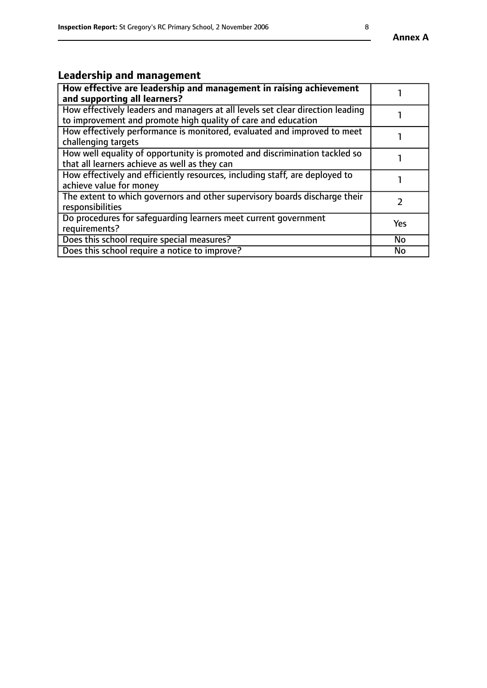## **Leadership and management**

| How effective are leadership and management in raising achievement<br>and supporting all learners?                                              |           |
|-------------------------------------------------------------------------------------------------------------------------------------------------|-----------|
| How effectively leaders and managers at all levels set clear direction leading<br>to improvement and promote high quality of care and education |           |
| How effectively performance is monitored, evaluated and improved to meet<br>challenging targets                                                 |           |
| How well equality of opportunity is promoted and discrimination tackled so<br>that all learners achieve as well as they can                     |           |
| How effectively and efficiently resources, including staff, are deployed to<br>achieve value for money                                          |           |
| The extent to which governors and other supervisory boards discharge their<br>responsibilities                                                  |           |
| Do procedures for safequarding learners meet current government<br>requirements?                                                                | Yes       |
| Does this school require special measures?                                                                                                      | <b>No</b> |
| Does this school require a notice to improve?                                                                                                   | <b>No</b> |